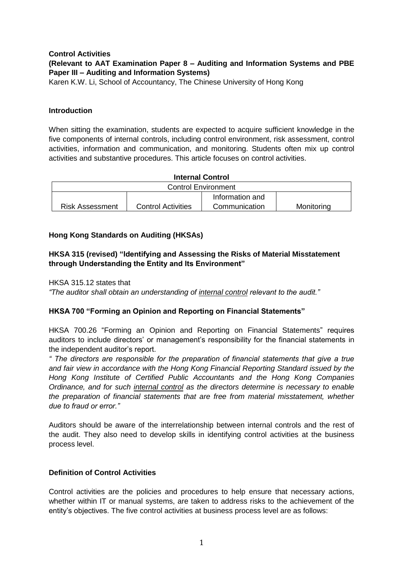### **Control Activities (Relevant to AAT Examination Paper 8 – Auditing and Information Systems and PBE Paper III – Auditing and Information Systems)**

Karen K.W. Li, School of Accountancy, The Chinese University of Hong Kong

# **Introduction**

When sitting the examination, students are expected to acquire sufficient knowledge in the five components of internal controls, including control environment, risk assessment, control activities, information and communication, and monitoring. Students often mix up control activities and substantive procedures. This article focuses on control activities.

| <b>Internal Control</b>    |                           |                 |            |
|----------------------------|---------------------------|-----------------|------------|
| <b>Control Environment</b> |                           |                 |            |
|                            |                           | Information and |            |
| <b>Risk Assessment</b>     | <b>Control Activities</b> | Communication   | Monitoring |

# **Hong Kong Standards on Auditing (HKSAs)**

# **HKSA 315 (revised) "Identifying and Assessing the Risks of Material Misstatement through Understanding the Entity and Its Environment"**

# HKSA 315.12 states that

*"The auditor shall obtain an understanding of internal control relevant to the audit."*

# **HKSA 700 "Forming an Opinion and Reporting on Financial Statements"**

HKSA 700.26 "Forming an Opinion and Reporting on Financial Statements" requires auditors to include directors' or management's responsibility for the financial statements in the independent auditor's report.

*" The directors are responsible for the preparation of financial statements that give a true and fair view in accordance with the Hong Kong Financial Reporting Standard issued by the Hong Kong Institute of Certified Public Accountants and the Hong Kong Companies Ordinance, and for such internal control as the directors determine is necessary to enable the preparation of financial statements that are free from material misstatement, whether due to fraud or error."*

Auditors should be aware of the interrelationship between internal controls and the rest of the audit. They also need to develop skills in identifying control activities at the business process level.

### **Definition of Control Activities**

Control activities are the policies and procedures to help ensure that necessary actions, whether within IT or manual systems, are taken to address risks to the achievement of the entity's objectives. The five control activities at business process level are as follows: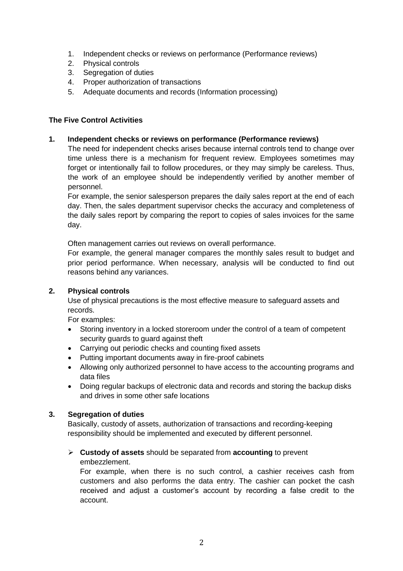- 1. Independent checks or reviews on performance (Performance reviews)
- 2. Physical controls
- 3. Segregation of duties
- 4. Proper authorization of transactions
- 5. Adequate documents and records (Information processing)

# **The Five Control Activities**

**1. Independent checks or reviews on performance (Performance reviews)**

The need for independent checks arises because internal controls tend to change over time unless there is a mechanism for frequent review. Employees sometimes may forget or intentionally fail to follow procedures, or they may simply be careless. Thus, the work of an employee should be independently verified by another member of personnel.

For example, the senior salesperson prepares the daily sales report at the end of each day. Then, the sales department supervisor checks the accuracy and completeness of the daily sales report by comparing the report to copies of sales invoices for the same day.

Often management carries out reviews on overall performance.

For example, the general manager compares the monthly sales result to budget and prior period performance. When necessary, analysis will be conducted to find out reasons behind any variances.

### **2. Physical controls**

Use of physical precautions is the most effective measure to safeguard assets and records.

For examples:

- Storing inventory in a locked storeroom under the control of a team of competent security guards to guard against theft
- Carrying out periodic checks and counting fixed assets
- Putting important documents away in fire-proof cabinets
- Allowing only authorized personnel to have access to the accounting programs and data files
- Doing regular backups of electronic data and records and storing the backup disks and drives in some other safe locations

### **3. Segregation of duties**

Basically, custody of assets, authorization of transactions and recording-keeping responsibility should be implemented and executed by different personnel.

#### **Custody of assets** should be separated from **accounting** to prevent embezzlement.

For example, when there is no such control, a cashier receives cash from customers and also performs the data entry. The cashier can pocket the cash received and adjust a customer's account by recording a false credit to the account.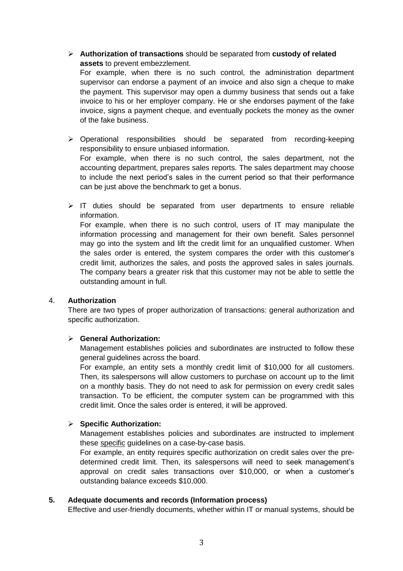**Authorization of transactions** should be separated from **custody of related assets** to prevent embezzlement.

For example, when there is no such control, the administration department supervisor can endorse a payment of an invoice and also sign a cheque to make the payment. This supervisor may open a dummy business that sends out a fake invoice to his or her employer company. He or she endorses payment of the fake invoice, signs a payment cheque, and eventually pockets the money as the owner of the fake business.

 Operational responsibilities should be separated from recording-keeping responsibility to ensure unbiased information. For example, when there is no such control, the sales department, not the

accounting department, prepares sales reports. The sales department may choose to include the next period's sales in the current period so that their performance can be just above the benchmark to get a bonus.

 $\triangleright$  IT duties should be separated from user departments to ensure reliable information.

For example, when there is no such control, users of IT may manipulate the information processing and management for their own benefit. Sales personnel may go into the system and lift the credit limit for an unqualified customer. When the sales order is entered, the system compares the order with this customer's credit limit, authorizes the sales, and posts the approved sales in sales journals. The company bears a greater risk that this customer may not be able to settle the outstanding amount in full.

### 4. **Authorization**

There are two types of proper authorization of transactions: general authorization and specific authorization.

### **General Authorization:**

Management establishes policies and subordinates are instructed to follow these general guidelines across the board.

For example, an entity sets a monthly credit limit of \$10,000 for all customers. Then, its salespersons will allow customers to purchase on account up to the limit on a monthly basis. They do not need to ask for permission on every credit sales transaction. To be efficient, the computer system can be programmed with this credit limit. Once the sales order is entered, it will be approved.

### **Specific Authorization:**

Management establishes policies and subordinates are instructed to implement these specific guidelines on a case-by-case basis.

For example, an entity requires specific authorization on credit sales over the predetermined credit limit. Then, its salespersons will need to seek management's approval on credit sales transactions over \$10,000, or when a customer's outstanding balance exceeds \$10,000.

### **5. Adequate documents and records (Information process)**

Effective and user-friendly documents, whether within IT or manual systems, should be